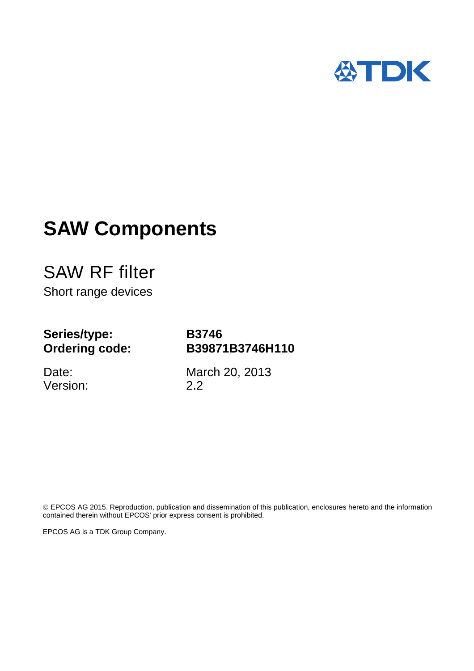

# **SAW Components**

SAW RF filter Short range devices

## **Series/type: Ordering code:**

Date: Version: **B3746 B39871B3746H110**

March 20, 2013 2.2

 EPCOS AG 2015. Reproduction, publication and dissemination of this publication, enclosures hereto and the information contained therein without EPCOS' prior express consent is prohibited.

EPCOS AG is a TDK Group Company.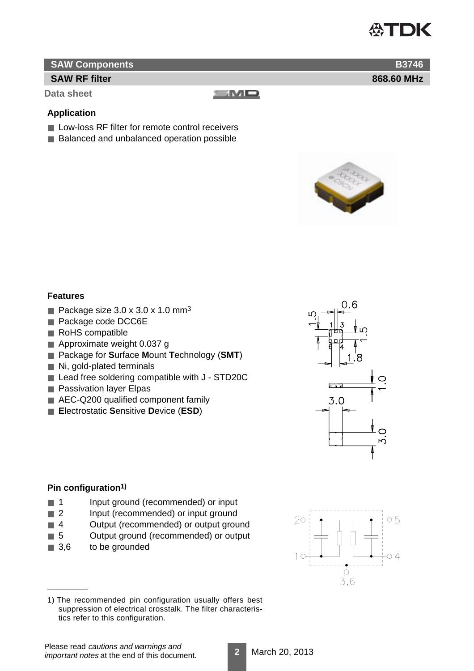## TDK

**868.60 MHz**

**B3746**

#### **SAW Components**

#### **SAW RF filter**

**Data sheet**

SMO

#### **Application**

- Low-loss RF filter for remote control receivers
- Balanced and unbalanced operation possible



#### **Features**

- Package size  $3.0 \times 3.0 \times 1.0 \text{ mm}^3$
- Package code DCC6E
- RoHS compatible
- Approximate weight 0.037 g
- Package for Surface Mount Technology (SMT)
- Ni, gold-plated terminals
- Lead free soldering compatible with J STD20C
- Passivation layer Elpas
- AEC-Q200 qualified component family
- **Electrostatic Sensitive Device (ESD)**



#### **Pin configuration1)**

- 1 Input ground (recommended) or input
- 2 Input (recommended) or input ground
- 4 Output (recommended) or output ground
- 5 Output ground (recommended) or output
- 3,6 to be grounded



<sup>1)</sup> The recommended pin configuration usually offers best suppression of electrical crosstalk. The filter characteristics refer to this configuration.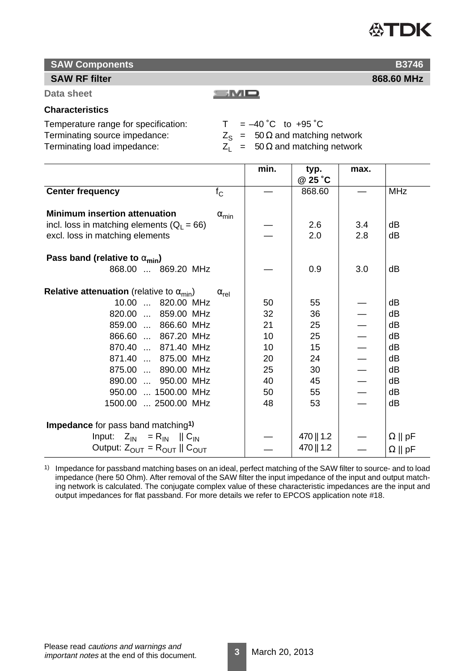# **ATDK**

**868.60 MHz**

## **SAW Components**

#### **SAW RF filter**

**Data sheet**

#### **Characteristics**

Temperature range for specification:  $T = -40 \degree C$  to +95  $\degree C$ Terminating source impedance:  $Z_S = 50 \Omega$  and matching network<br>Terminating load impedance:  $Z_1 = 50 \Omega$  and matching network

 $Z_1$  = 50  $\Omega$  and matching network

|                                                                  |                       | min. | typ.<br>@ 25 °C | max. |                |
|------------------------------------------------------------------|-----------------------|------|-----------------|------|----------------|
| <b>Center frequency</b>                                          | $f_{\rm C}$           |      | 868.60          |      | <b>MHz</b>     |
| <b>Minimum insertion attenuation</b>                             | $\alpha_{\text{min}}$ |      |                 |      |                |
| incl. loss in matching elements ( $Q_1 = 66$ )                   |                       |      | 2.6             | 3.4  | dB             |
| excl. loss in matching elements                                  |                       |      | 2.0             | 2.8  | dB             |
| Pass band (relative to $\alpha_{\min}$ )<br>868.00  869.20 MHz   |                       |      | 0.9             | 3.0  | dB             |
|                                                                  |                       |      |                 |      |                |
| <b>Relative attenuation</b> (relative to $\alpha_{\text{min}}$ ) | $\alpha_{\text{rel}}$ |      |                 |      |                |
| 10.00  820.00 MHz                                                |                       | 50   | 55              |      | dB             |
| 820.00  859.00 MHz                                               |                       | 32   | 36              |      | dB             |
| 859.00  866.60 MHz                                               |                       | 21   | 25              |      | dB             |
| 866.60  867.20 MHz                                               |                       | 10   | 25              |      | dB             |
| 870.40  871.40 MHz                                               |                       | 10   | 15              |      | dB             |
| 871.40  875.00 MHz                                               |                       | 20   | 24              |      | dB             |
| 875.00  890.00 MHz                                               |                       | 25   | 30              |      | dB             |
| 890.00  950.00 MHz                                               |                       | 40   | 45              |      | dB             |
| 950.00  1500.00 MHz                                              |                       | 50   | 55              |      | dB             |
| 1500.00  2500.00 MHz                                             |                       | 48   | 53              |      | dB             |
|                                                                  |                       |      |                 |      |                |
| Impedance for pass band matching <sup>1)</sup>                   |                       |      |                 |      |                |
| Input: $Z_{\text{IN}} = R_{\text{IN}}$    $C_{\text{IN}}$        |                       |      | 470    1.2      |      | $\Omega$    pF |
| Output: $Z_{\text{OUT}} = R_{\text{OUT}}    C_{\text{OUT}}$      |                       |      | 470    1.2      |      | $\Omega$    pF |

 $\equiv$ M $\Box$ 

1) Impedance for passband matching bases on an ideal, perfect matching of the SAW filter to source- and to load impedance (here 50 Ohm). After removal of the SAW filter the input impedance of the input and output matching network is calculated. The conjugate complex value of these characteristic impedances are the input and output impedances for flat passband. For more details we refer to EPCOS application note #18.

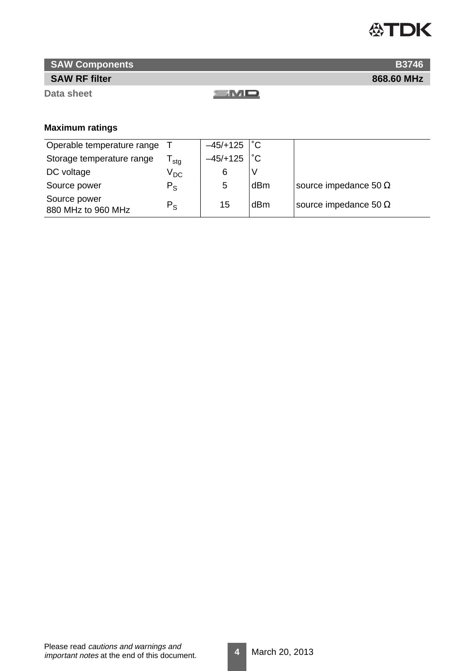

**868.60 MHz**

**B3746**

### **SAW Components**

#### **SAW RF filter**

**Data sheet**

 $\equiv$ M $\Box$ 

## **Maximum ratings**

| Operable temperature range         |              | $-45/+125$ | $^{\circ}C$  |                              |
|------------------------------------|--------------|------------|--------------|------------------------------|
| Storage temperature range          | stg          | $-45/+125$ | $^{\circ}$ C |                              |
| DC voltage                         | $\rm V_{DC}$ | 6          | ν            |                              |
| Source power                       | $P_{\rm S}$  | 5          | dBm          | source impedance 50 $\Omega$ |
| Source power<br>880 MHz to 960 MHz | $P_{\rm S}$  | 15         | dBm          | source impedance 50 $\Omega$ |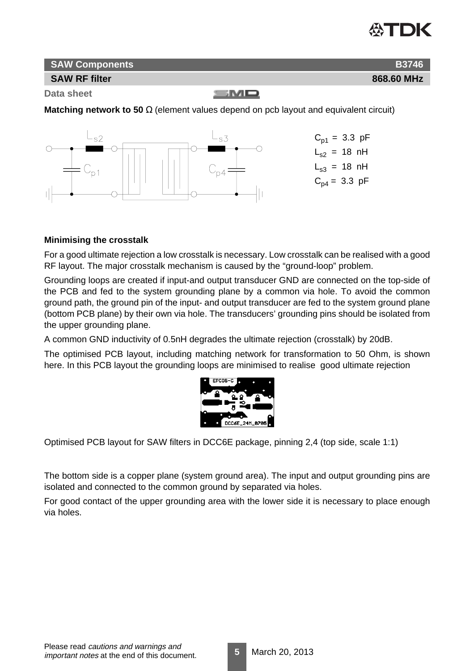

**868.60 MHz**

**B3746**



#### **SAW RF filter**

**Data sheet**

SMO

**Matching network to 50** Ω (element values depend on pcb layout and equivalent circuit)



#### **Minimising the crosstalk**

For a good ultimate rejection a low crosstalk is necessary. Low crosstalk can be realised with a good RF layout. The major crosstalk mechanism is caused by the "ground-loop" problem.

Grounding loops are created if input-and output transducer GND are connected on the top-side of the PCB and fed to the system grounding plane by a common via hole. To avoid the common ground path, the ground pin of the input- and output transducer are fed to the system ground plane (bottom PCB plane) by their own via hole. The transducers' grounding pins should be isolated from the upper grounding plane.

A common GND inductivity of 0.5nH degrades the ultimate rejection (crosstalk) by 20dB.

The optimised PCB layout, including matching network for transformation to 50 Ohm, is shown here. In this PCB layout the grounding loops are minimised to realise good ultimate rejection



Optimised PCB layout for SAW filters in DCC6E package, pinning 2,4 (top side, scale 1:1)

The bottom side is a copper plane (system ground area). The input and output grounding pins are isolated and connected to the common ground by separated via holes.

For good contact of the upper grounding area with the lower side it is necessary to place enough via holes.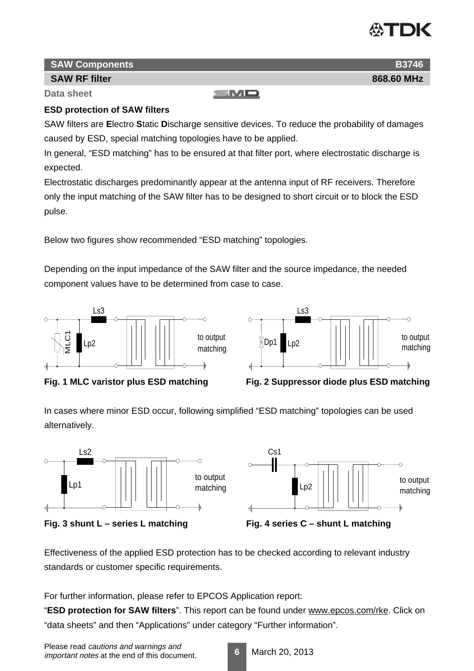

#### **SAW Components**

#### **SAW RF filter**

**Data sheet**

#### **ESD protection of SAW filters**

SAW filters are **E**lectro **S**tatic **D**ischarge sensitive devices. To reduce the probability of damages caused by ESD, special matching topologies have to be applied.

SMQ

In general, "ESD matching" has to be ensured at that filter port, where electrostatic discharge is expected.

Electrostatic discharges predominantly appear at the antenna input of RF receivers. Therefore only the input matching of the SAW filter has to be designed to short circuit or to block the ESD pulse.

Below two figures show recommended "ESD matching" topologies.

Depending on the input impedance of the SAW filter and the source impedance, the needed component values have to be determined from case to case.







In cases where minor ESD occur, following simplified "ESD matching" topologies can be used alternatively.







Effectiveness of the applied ESD protection has to be checked according to relevant industry standards or customer specific requirements.

For further information, please refer to EPCOS Application report:

"**ESD protection for SAW filters**". This report can be found under www.epcos.com/rke. Click on "data sheets" and then "Applications" under category "Further information".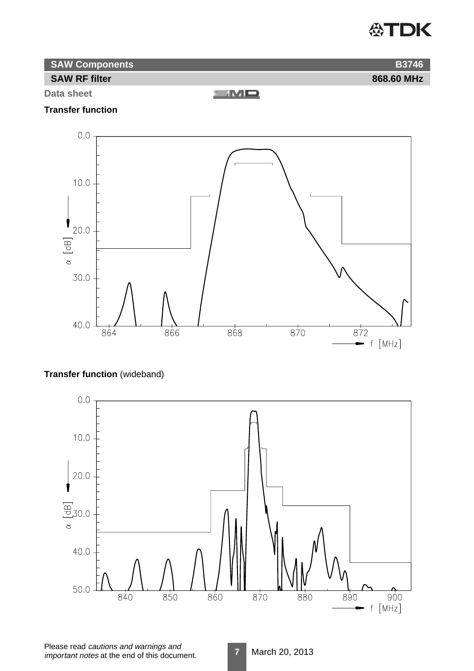## **公TDK**

| SAW Components       |            |
|----------------------|------------|
| <b>SAW RF filter</b> | 868.60 MHz |

**Data sheet**

 $\equiv$ MD

#### **Transfer function**



### **Transfer function** (wideband)

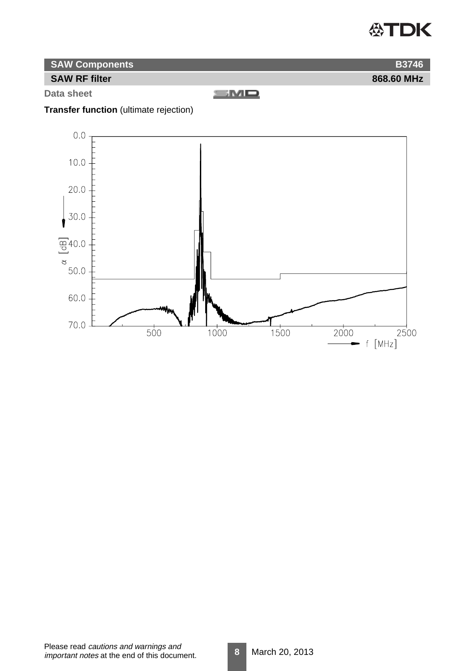## **公TDK**

**868.60 MHz**

**B3746**

| <b>SAW Components</b> |  |
|-----------------------|--|
|-----------------------|--|

#### **SAW RF filter**

**Data sheet**

 $\mathbf{SMD}$ 

## **Transfer function** (ultimate rejection)

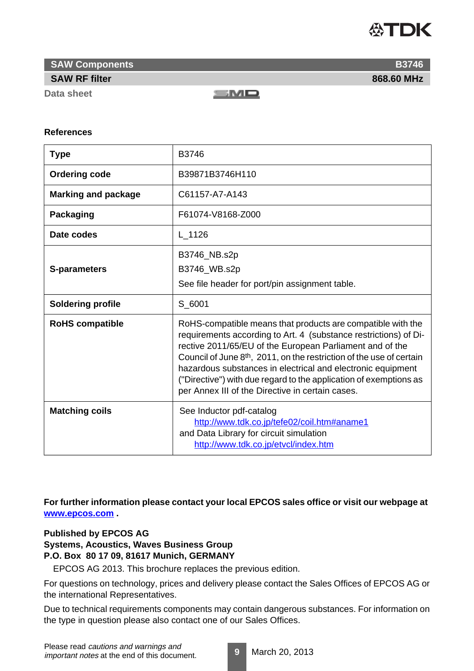

**SAW Components**

#### **SAW RF filter**

**Data sheet**

SMO

#### **References**

| <b>Type</b>                | B3746                                                                                                                                                                                                                                                                                                                                                                                                                                                                   |
|----------------------------|-------------------------------------------------------------------------------------------------------------------------------------------------------------------------------------------------------------------------------------------------------------------------------------------------------------------------------------------------------------------------------------------------------------------------------------------------------------------------|
| <b>Ordering code</b>       | B39871B3746H110                                                                                                                                                                                                                                                                                                                                                                                                                                                         |
| <b>Marking and package</b> | C61157-A7-A143                                                                                                                                                                                                                                                                                                                                                                                                                                                          |
| <b>Packaging</b>           | F61074-V8168-Z000                                                                                                                                                                                                                                                                                                                                                                                                                                                       |
| Date codes                 | L 1126                                                                                                                                                                                                                                                                                                                                                                                                                                                                  |
| <b>S-parameters</b>        | B3746_NB.s2p<br>B3746_WB.s2p<br>See file header for port/pin assignment table.                                                                                                                                                                                                                                                                                                                                                                                          |
| <b>Soldering profile</b>   | S 6001                                                                                                                                                                                                                                                                                                                                                                                                                                                                  |
| <b>RoHS compatible</b>     | RoHS-compatible means that products are compatible with the<br>requirements according to Art. 4 (substance restrictions) of Di-<br>rective 2011/65/EU of the European Parliament and of the<br>Council of June 8 <sup>th</sup> , 2011, on the restriction of the use of certain<br>hazardous substances in electrical and electronic equipment<br>("Directive") with due regard to the application of exemptions as<br>per Annex III of the Directive in certain cases. |
| <b>Matching coils</b>      | See Inductor pdf-catalog<br>http://www.tdk.co.jp/tefe02/coil.htm#aname1<br>and Data Library for circuit simulation<br>http://www.tdk.co.jp/etvcl/index.htm                                                                                                                                                                                                                                                                                                              |

**For further information please contact your local EPCOS sales office or visit our webpage at www.epcos.com .**

#### **Published by EPCOS AG Systems, Acoustics, Waves Business Group P.O. Box 80 17 09, 81617 Munich, GERMANY**

EPCOS AG 2013. This brochure replaces the previous edition.

For questions on technology, prices and delivery please contact the Sales Offices of EPCOS AG or the international Representatives.

Due to technical requirements components may contain dangerous substances. For information on the type in question please also contact one of our Sales Offices.

**868.60 MHz**